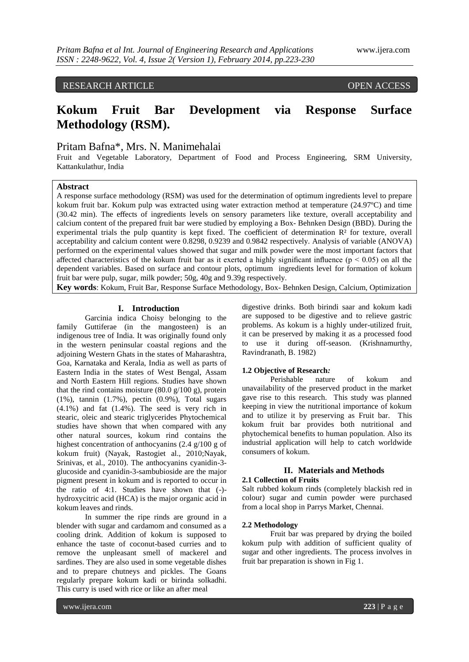# RESEARCH ARTICLE **CONSERVERS**

# **Kokum Fruit Bar Development via Response Surface Methodology (RSM).**

# Pritam Bafna\*, Mrs. N. Manimehalai

Fruit and Vegetable Laboratory, Department of Food and Process Engineering, SRM University, Kattankulathur, India

# **Abstract**

A response surface methodology (RSM) was used for the determination of optimum ingredients level to prepare kokum fruit bar. Kokum pulp was extracted using water extraction method at temperature (24.97ºC) and time (30.42 min). The effects of ingredients levels on sensory parameters like texture, overall acceptability and calcium content of the prepared fruit bar were studied by employing a Box- Behnken Design (BBD). During the experimental trials the pulp quantity is kept fixed. The coefficient of determination  $\mathbb{R}^2$  for texture, overall acceptability and calcium content were 0.8298, 0.9239 and 0.9842 respectively. Analysis of variable (ANOVA) performed on the experimental values showed that sugar and milk powder were the most important factors that affected characteristics of the kokum fruit bar as it exerted a highly significant influence ( $p < 0.05$ ) on all the dependent variables. Based on surface and contour plots, optimum ingredients level for formation of kokum fruit bar were pulp, sugar, milk powder; 50g, 40g and 9.39g respectively.

**Key words**: Kokum, Fruit Bar, Response Surface Methodology, Box- Behnken Design, Calcium, Optimization

### **I. Introduction**

Garcinia indica Choisy belonging to the family Guttiferae (in the mangosteen) is an indigenous tree of India. It was originally found only in the western peninsular coastal regions and the adjoining Western Ghats in the states of Maharashtra, Goa, Karnataka and Kerala, India as well as parts of Eastern India in the states of West Bengal, Assam and North Eastern Hill regions. Studies have shown that the rind contains moisture  $(80.0 \text{ g}/100 \text{ g})$ , protein (1%), tannin (1.7%), pectin (0.9%), Total sugars (4.1%) and fat (1.4%). The seed is very rich in stearic, oleic and stearic triglycerides Phytochemical studies have shown that when compared with any other natural sources, kokum rind contains the highest concentration of anthocyanins (2.4 g/100 g of kokum fruit) (Nayak, Rastogiet al., 2010;Nayak, Srinivas, et al., 2010). The anthocyanins cyanidin-3 glucoside and cyanidin-3-sambubioside are the major pigment present in kokum and is reported to occur in the ratio of 4:1. Studies have shown that (-) hydroxycitric acid (HCA) is the major organic acid in kokum leaves and rinds.

In summer the ripe rinds are ground in a blender with sugar and cardamom and consumed as a cooling drink. Addition of kokum is supposed to enhance the taste of coconut-based curries and to remove the unpleasant smell of mackerel and sardines. They are also used in some vegetable dishes and to prepare chutneys and pickles. The Goans regularly prepare kokum kadi or birinda solkadhi. This curry is used with rice or like an after meal

digestive drinks. Both birindi saar and kokum kadi are supposed to be digestive and to relieve gastric problems. As kokum is a highly under-utilized fruit, it can be preserved by making it as a processed food to use it during off-season. (Krishnamurthy, Ravindranath, B. 1982)

#### **1.2 Objective of Research***:*

Perishable nature of kokum and unavailability of the preserved product in the market gave rise to this research. This study was planned keeping in view the nutritional importance of kokum and to utilize it by preserving as Fruit bar. This kokum fruit bar provides both nutritional and phytochemical benefits to human population. Also its industrial application will help to catch worldwide consumers of kokum.

#### **II. Materials and Methods 2.1 Collection of Fruits**

Salt rubbed kokum rinds (completely blackish red in colour) sugar and cumin powder were purchased from a local shop in Parrys Market, Chennai.

## **2.2 Methodology**

Fruit bar was prepared by drying the boiled kokum pulp with addition of sufficient quality of sugar and other ingredients. The process involves in fruit bar preparation is shown in Fig 1.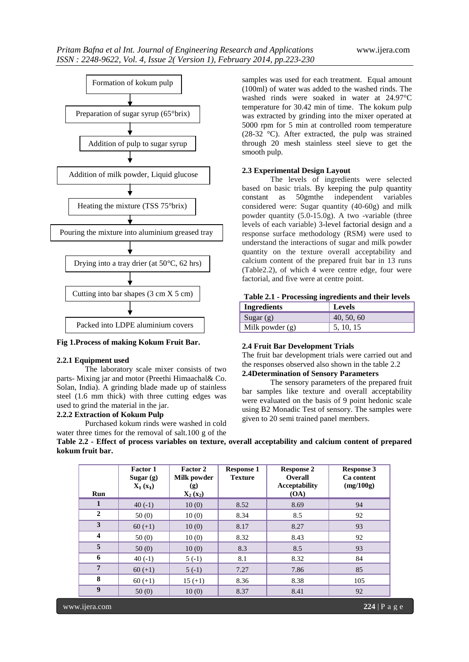

**Fig 1.Process of making Kokum Fruit Bar.**

#### **2.2.1 Equipment used**

The laboratory scale mixer consists of two parts- Mixing jar and motor (Preethi Himaachal& Co. Solan, India). A grinding blade made up of stainless steel (1.6 mm thick) with three cutting edges was used to grind the material in the jar.

#### **2.2.2 Extraction of Kokum Pulp**

Purchased kokum rinds were washed in cold water three times for the removal of salt.100 g of the

samples was used for each treatment. Equal amount (100ml) of water was added to the washed rinds. The washed rinds were soaked in water at 24.97°C temperature for 30.42 min of time. The kokum pulp was extracted by grinding into the mixer operated at 5000 rpm for 5 min at controlled room temperature (28-32 °C). After extracted, the pulp was strained through 20 mesh stainless steel sieve to get the smooth pulp.

## **2.3 Experimental Design Layout**

The levels of ingredients were selected based on basic trials. By keeping the pulp quantity constant as 50gmthe independent variables considered were: Sugar quantity (40-60g) and milk powder quantity (5.0-15.0g). A two -variable (three levels of each variable) 3-level factorial design and a response surface methodology (RSM) were used to understand the interactions of sugar and milk powder quantity on the texture overall acceptability and calcium content of the prepared fruit bar in 13 runs (Table2.2), of which 4 were centre edge, four were factorial, and five were at centre point.

| <b>Ingredients</b> | Levels     |
|--------------------|------------|
| Sugar $(g)$        | 40, 50, 60 |
| Milk powder $(g)$  | 5, 10, 15  |

#### **2.4 Fruit Bar Development Trials**

The fruit bar development trials were carried out and the responses observed also shown in the table 2.2

# **2.4Determination of Sensory Parameters**

The sensory parameters of the prepared fruit bar samples like texture and overall acceptability were evaluated on the basis of 9 point hedonic scale using B2 Monadic Test of sensory. The samples were given to 20 semi trained panel members.

**Table 2.2 - Effect of process variables on texture, overall acceptability and calcium content of prepared kokum fruit bar.**

| Run                     | Factor 1<br>Sugar $(g)$<br>$X_1(x_1)$ | Factor 2<br>Milk powder<br>(g)<br>$X_2(x_2)$ | <b>Response 1</b><br><b>Texture</b> | <b>Response 2</b><br><b>Overall</b><br><b>Acceptability</b><br>(OA) | <b>Response 3</b><br>Ca content<br>(mg/100g) |
|-------------------------|---------------------------------------|----------------------------------------------|-------------------------------------|---------------------------------------------------------------------|----------------------------------------------|
| $\mathbf{1}$            | $40(-1)$                              | 10(0)                                        | 8.52                                | 8.69                                                                | 94                                           |
| $\mathbf{2}$            | 50(0)                                 | 10(0)                                        | 8.34                                | 8.5                                                                 | 92                                           |
| 3                       | $60 (+1)$                             | 10(0)                                        | 8.17                                | 8.27                                                                | 93                                           |
| $\overline{\mathbf{4}}$ | 50(0)                                 | 10(0)                                        | 8.32                                | 8.43                                                                | 92                                           |
| 5                       | 50(0)                                 | 10(0)                                        | 8.3                                 | 8.5                                                                 | 93                                           |
| 6                       | $40(-1)$                              | $5(-1)$                                      | 8.1                                 | 8.32                                                                | 84                                           |
| $7\phantom{.0}$         | $60 (+1)$                             | $5(-1)$                                      | 7.27                                | 7.86                                                                | 85                                           |
| 8                       | $60 (+1)$                             | $15 (+1)$                                    | 8.36                                | 8.38                                                                | 105                                          |
| $\boldsymbol{9}$        | 50(0)                                 | 10(0)                                        | 8.37                                | 8.41                                                                | 92                                           |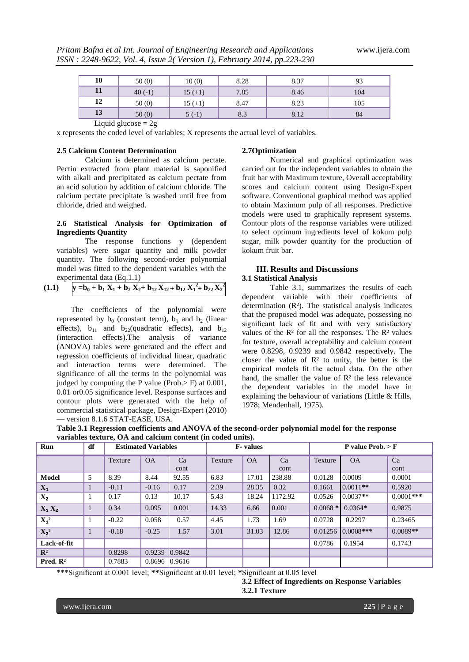| 10 | 50(0)    | 10(0)     | 8.28 | 8.37 | 93  |
|----|----------|-----------|------|------|-----|
| 11 | $40(-1)$ | $15 (+1)$ | 7.85 | 8.46 | 104 |
| 12 | 50(0)    | $15 (+1)$ | 8.47 | 8.23 | 105 |
| 13 | 50(0)    | $5(-1)$   | 8.3  | 8.12 | 84  |

Liquid glucose  $= 2g$ 

x represents the coded level of variables; X represents the actual level of variables.

## **2.5 Calcium Content Determination**

Calcium is determined as calcium pectate. Pectin extracted from plant material is saponified with alkali and precipitated as calcium pectate from an acid solution by addition of calcium chloride. The calcium pectate precipitate is washed until free from chloride, dried and weighed.

# **2.6 Statistical Analysis for Optimization of Ingredients Quantity**

The response functions y (dependent variables) were sugar quantity and milk powder quantity. The following second-order polynomial model was fitted to the dependent variables with the experimental data (Eq.1.1)

$$
(1.1)
$$

$$
y = b_0 + b_1 X_1 + b_2 X_2 + b_{12} X_{12} + b_{12} X_1^2 + b_{22} X_2^2
$$

The coefficients of the polynomial were represented by  $b_0$  (constant term),  $b_1$  and  $b_2$  (linear effects),  $b_{11}$  and  $b_{22}$ (quadratic effects), and  $b_{12}$ (interaction effects).The analysis of variance (ANOVA) tables were generated and the effect and regression coefficients of individual linear, quadratic and interaction terms were determined. The significance of all the terms in the polynomial was judged by computing the P value (Prob.> F) at 0.001, 0.01 or0.05 significance level. Response surfaces and contour plots were generated with the help of commercial statistical package, Design-Expert (2010) — version 8.1.6 STAT-EASE, USA.

#### **2.7Optimization**

Numerical and graphical optimization was carried out for the independent variables to obtain the fruit bar with Maximum texture, Overall acceptability scores and calcium content using Design-Expert software. Conventional graphical method was applied to obtain Maximum pulp of all responses. Predictive models were used to graphically represent systems. Contour plots of the response variables were utilized to select optimum ingredients level of kokum pulp sugar, milk powder quantity for the production of kokum fruit bar.

#### **III. Results and Discussions 3.1 Statistical Analysis**

Table 3.1, summarizes the results of each dependent variable with their coefficients of determination (R²). The statistical analysis indicates that the proposed model was adequate, possessing no significant lack of fit and with very satisfactory values of the  $R<sup>2</sup>$  for all the responses. The  $R<sup>2</sup>$  values for texture, overall acceptability and calcium content were 0.8298, 0.9239 and 0.9842 respectively. The closer the value of  $\mathbb{R}^2$  to unity, the better is the empirical models fit the actual data. On the other hand, the smaller the value of  $\mathbb{R}^2$  the less relevance the dependent variables in the model have in explaining the behaviour of variations (Little & Hills, 1978; Mendenhall, 1975).

| Table 3.1 Regression coefficients and ANOVA of the second-order polynomial model for the response |
|---------------------------------------------------------------------------------------------------|
| variables texture, OA and calcium content (in coded units).                                       |

| Run                  | df                                                                 | <b>Estimated Variables</b> |               |                  | <b>F</b> -values |           |         | P value Prob. $>$ F |               |              |
|----------------------|--------------------------------------------------------------------|----------------------------|---------------|------------------|------------------|-----------|---------|---------------------|---------------|--------------|
|                      |                                                                    | Texture                    | <b>OA</b>     | Ca               | Texture          | <b>OA</b> | Ca      | Texture             | <b>OA</b>     | Ca           |
|                      |                                                                    |                            |               | cont             |                  |           | cont    |                     |               | cont         |
| <b>Model</b>         | 5                                                                  | 8.39                       | 8.44          | 92.55            | 6.83             | 17.01     | 238.88  | 0.0128              | 0.0009        | 0.0001       |
| $X_1$                |                                                                    | $-0.11$                    | $-0.16$       | 0.17             | 2.39             | 28.35     | 0.32    | 0.1661              | $0.0011**$    | 0.5920       |
| $\mathbf{X_2}$       |                                                                    | 0.17                       | 0.13          | 10.17            | 5.43             | 18.24     | 1172.92 | 0.0526              | $0.0037**$    | $0.0001$ *** |
| $X_1 X_2$            | $\mathbf{\mathbf{\mathbf{\mathbf{\mathbf{\mathbf{\mathbf{I}}}}}}}$ | 0.34                       | 0.095         | 0.001            | 14.33            | 6.66      | 0.001   | $0.0068*$           | $0.0364*$     | 0.9875       |
| $X_1^2$              |                                                                    | $-0.22$                    | 0.058         | 0.57             | 4.45             | 1.73      | 1.69    | 0.0728              | 0.2297        | 0.23465      |
| $X_2^2$              |                                                                    | $-0.18$                    | $-0.25$       | 1.57             | 3.01             | 31.03     | 12.86   | 0.01256             | $ 0.0008*** $ | $0.0089**$   |
| Lack-of-fit          |                                                                    |                            |               |                  |                  |           |         | 0.0786              | 0.1954        | 0.1743       |
| $\mathbf{R}^2$       |                                                                    | 0.8298                     | 0.9239        | $ 0.9842\rangle$ |                  |           |         |                     |               |              |
| Pred. $\mathbb{R}^2$ |                                                                    | 0.7883                     | 0.8696 0.9616 |                  |                  |           |         |                     |               |              |

\*\*\*Significant at 0.001 level; **\*\***Significant at 0.01 level; **\***Significant at 0.05 level

**3.2 Effect of Ingredients on Response Variables 3.2.1 Texture**

www.ijera.com **225** | P a g e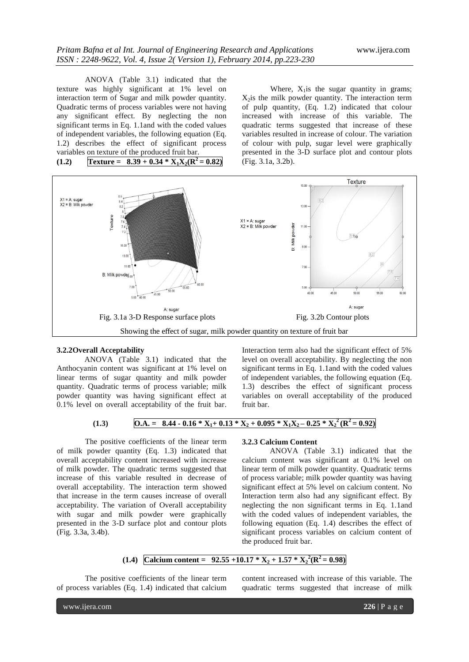ANOVA (Table 3.1) indicated that the texture was highly significant at 1% level on interaction term of Sugar and milk powder quantity. Quadratic terms of process variables were not having any significant effect. By neglecting the non significant terms in Eq. 1.1and with the coded values of independent variables, the following equation (Eq. 1.2) describes the effect of significant process variables on texture of the produced fruit bar.  $T$ **(1.2) Texture** = **8.39** + **0.34 \***  $X_1X_2(R^2 = 0.82)$ 

Where,  $X_1$  is the sugar quantity in grams;  $X<sub>2</sub>$ is the milk powder quantity. The interaction term of pulp quantity, (Eq. 1.2) indicated that colour increased with increase of this variable. The quadratic terms suggested that increase of these variables resulted in increase of colour. The variation of colour with pulp, sugar level were graphically presented in the 3-D surface plot and contour plots (Fig. 3.1a, 3.2b).



#### **3.2.2Overall Acceptability**

ANOVA (Table 3.1) indicated that the Anthocyanin content was significant at 1% level on linear terms of sugar quantity and milk powder quantity. Quadratic terms of process variable; milk powder quantity was having significant effect at 0.1% level on overall acceptability of the fruit bar. Interaction term also had the significant effect of 5% level on overall acceptability. By neglecting the non significant terms in Eq. 1.1and with the coded values of independent variables, the following equation (Eq. 1.3) describes the effect of significant process variables on overall acceptability of the produced fruit bar.

$$
(1.3) \qquad \qquad \overline{OA.} = 8.44 - 0.16 * X_1 + 0.13 * X_2 + 0.095 * X_1 X_2 - 0.25 * X_2^2 (R^2 = 0.92)
$$

The positive coefficients of the linear term of milk powder quantity (Eq. 1.3) indicated that overall acceptability content increased with increase of milk powder. The quadratic terms suggested that increase of this variable resulted in decrease of overall acceptability. The interaction term showed that increase in the term causes increase of overall acceptability. The variation of Overall acceptability with sugar and milk powder were graphically presented in the 3-D surface plot and contour plots (Fig. 3.3a, 3.4b).

# **3.2.3 Calcium Content**

ANOVA (Table 3.1) indicated that the calcium content was significant at 0.1% level on linear term of milk powder quantity. Quadratic terms of process variable; milk powder quantity was having significant effect at 5% level on calcium content. No Interaction term also had any significant effect. By neglecting the non significant terms in Eq. 1.1and with the coded values of independent variables, the following equation (Eq. 1.4) describes the effect of significant process variables on calcium content of the produced fruit bar.

# **(1.4)** Calcium content =  $92.55 + 10.17 * X_2 + 1.57 * X_2^2 (R^2 = 0.98)$

The positive coefficients of the linear term of process variables (Eq. 1.4) indicated that calcium

content increased with increase of this variable. The quadratic terms suggested that increase of milk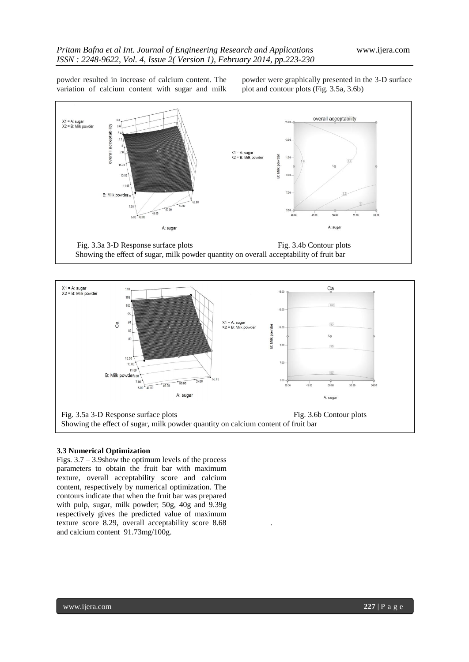powder resulted in increase of calcium content. The variation of calcium content with sugar and milk powder were graphically presented in the 3-D surface plot and contour plots (Fig. 3.5a, 3.6b)







.

# **3.3 Numerical Optimization**

Figs.  $3.7 - 3.9$ show the optimum levels of the process parameters to obtain the fruit bar with maximum texture, overall acceptability score and calcium content, respectively by numerical optimization. The contours indicate that when the fruit bar was prepared with pulp, sugar, milk powder; 50g, 40g and 9.39g respectively gives the predicted value of maximum texture score 8.29, overall acceptability score 8.68 and calcium content 91.73mg/100g.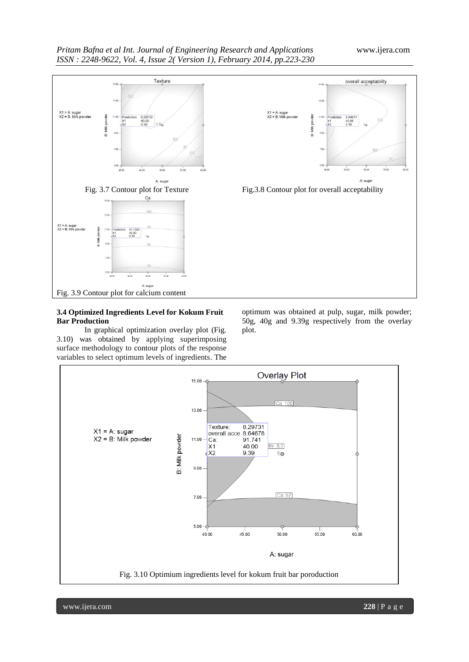

### **3.4 Optimized Ingredients Level for Kokum Fruit Bar Production**

In graphical optimization overlay plot (Fig. 3.10) was obtained by applying superimposing surface methodology to contour plots of the response variables to select optimum levels of ingredients. The



optimum was obtained at pulp, sugar, milk powder; 50g, 40g and 9.39g respectively from the overlay plot.



www.ijera.com **228** | P a g e Fig. 3.10 Optimium ingredients level for kokum fruit bar poroduction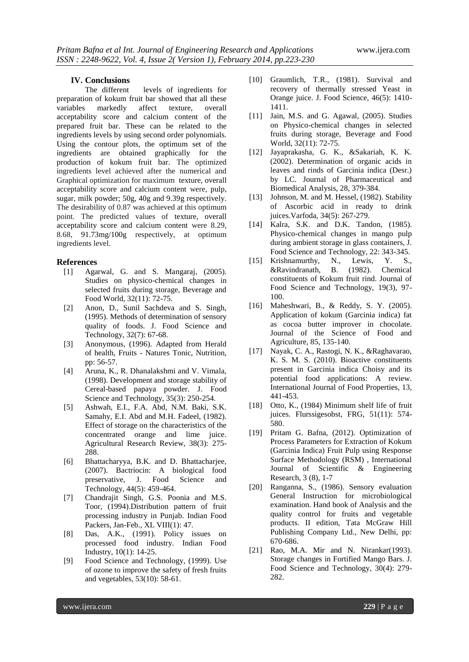## **IV. Conclusions**

The different levels of ingredients for preparation of kokum fruit bar showed that all these variables markedly affect texture, overall acceptability score and calcium content of the prepared fruit bar. These can be related to the ingredients levels by using second order polynomials. Using the contour plots, the optimum set of the ingredients are obtained graphically for the production of kokum fruit bar. The optimized ingredients level achieved after the numerical and Graphical optimization for maximum texture, overall acceptability score and calcium content were, pulp, sugar, milk powder; 50g, 40g and 9.39g respectively. The desirability of 0.87 was achieved at this optimum point. The predicted values of texture, overall acceptability score and calcium content were 8.29, 8.68, 91.73mg/100g respectively, at optimum ingredients level.

# **References**

- [1] Agarwal, G. and S. Mangaraj, (2005). Studies on physico-chemical changes in selected fruits during storage, Beverage and Food World, 32(11): 72-75.
- [2] Anon, D., Sunil Sachdeva and S. Singh, (1995). Methods of determination of sensory quality of foods. J. Food Science and Technology, 32(7): 67-68.
- [3] Anonymous, (1996). Adapted from Herald of health, Fruits - Natures Tonic, Nutrition, pp: 56-57.
- [4] Aruna, K., R. Dhanalakshmi and V. Vimala, (1998). Development and storage stability of Cereal-based papaya powder. J. Food Science and Technology, 35(3): 250-254.
- [5] Ashwah, E.I., F.A. Abd, N.M. Baki, S.K. Samahy, E.I. Abd and M.H. Fadeel, (1982). Effect of storage on the characteristics of the concentrated orange and lime juice. Agricultural Research Review, 38(3): 275- 288.
- [6] Bhattacharyya, B.K. and D. Bhattacharjee, (2007). Bactriocin: A biological food preservative, J. Food Science and Technology, 44(5): 459-464.
- [7] Chandrajit Singh, G.S. Poonia and M.S. Toor, (1994).Distribution pattern of fruit processing industry in Punjab. Indian Food Packers, Jan-Feb., XL VIII(1): 47.
- [8] Das, A.K., (1991). Policy issues on processed food industry. Indian Food Industry, 10(1): 14-25.
- [9] Food Science and Technology, (1999). Use of ozone to improve the safety of fresh fruits and vegetables, 53(10): 58-61.
- [10] Graumlich, T.R., (1981). Survival and recovery of thermally stressed Yeast in Orange juice. J. Food Science, 46(5): 1410- 1411.
- [11] Jain, M.S. and G. Agawal, (2005). Studies on Physico-chemical changes in selected fruits during storage, Beverage and Food World, 32(11): 72-75.
- [12] Jayaprakasha, G. K., &Sakariah, K. K. (2002). Determination of organic acids in leaves and rinds of Garcinia indica (Desr.) by LC. Journal of Pharmaceutical and Biomedical Analysis, 28, 379-384.
- [13] Johnson, M. and M. Hessel, (1982). Stability of Ascorbic acid in ready to drink juices.Varfoda, 34(5): 267-279.
- [14] Kalra, S.K. and D.K. Tandon, (1985). Physico-chemical changes in mango pulp during ambient storage in glass containers, J. Food Science and Technology, 22: 343-345.<br>Krishnamurthy, N., Lewis, Y. S.,
- [15] Krishnamurthy, N., Lewis, Y. S., &Ravindranath, B. (1982). Chemical constituents of Kokum fruit rind. Journal of Food Science and Technology, 19(3), 97- 100.
- [16] Maheshwari, B., & Reddy, S. Y. (2005). Application of kokum (Garcinia indica) fat as cocoa butter improver in chocolate. Journal of the Science of Food and Agriculture, 85, 135-140.
- [17] Nayak, C. A., Rastogi, N. K., &Raghavarao, K. S. M. S. (2010). Bioactive constituents present in Garcinia indica Choisy and its potential food applications: A review. International Journal of Food Properties, 13, 441-453.
- [18] Otto, K., (1984) Minimum shelf life of fruit juices. Flurssigesobst, FRG, 51(11): 574- 580.
- [19] Pritam G. Bafna, (2012). Optimization of Process Parameters for Extraction of Kokum (Garcinia Indica) Fruit Pulp using Response Surface Methodology (RSM) , International Journal of Scientific & Engineering Research, 3 (8), 1-7
- [20] Ranganna, S., (1986). Sensory evaluation General Instruction for microbiological examination. Hand book of Analysis and the quality control for fruits and vegetable products. II edition, Tata McGraw Hill Publishing Company Ltd., New Delhi, pp: 670-686.
- [21] Rao, M.A. Mir and N. Nirankar(1993). Storage changes in Fortified Mango Bars. J. Food Science and Technology, 30(4): 279- 282.